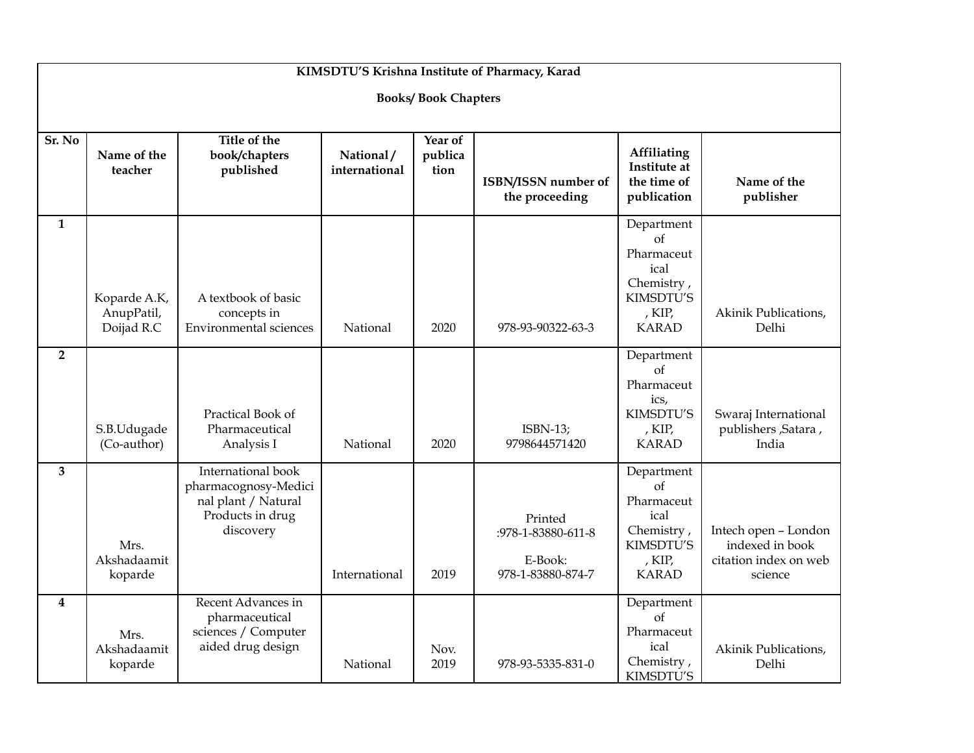| KIMSDTU'S Krishna Institute of Pharmacy, Karad |                                          |                                                                                                    |                            |                            |                                                               |                                                                                                      |                                                                             |  |  |  |  |  |
|------------------------------------------------|------------------------------------------|----------------------------------------------------------------------------------------------------|----------------------------|----------------------------|---------------------------------------------------------------|------------------------------------------------------------------------------------------------------|-----------------------------------------------------------------------------|--|--|--|--|--|
| <b>Books/Book Chapters</b>                     |                                          |                                                                                                    |                            |                            |                                                               |                                                                                                      |                                                                             |  |  |  |  |  |
| Sr. No                                         | Name of the<br>teacher                   | Title of the<br>book/chapters<br>published                                                         | National/<br>international | Year of<br>publica<br>tion | ISBN/ISSN number of<br>the proceeding                         | Affiliating<br>Institute at<br>the time of<br>publication                                            | Name of the<br>publisher                                                    |  |  |  |  |  |
| $\mathbf{1}$                                   | Koparde A.K,<br>AnupPatil,<br>Doijad R.C | A textbook of basic<br>concepts in<br><b>Environmental sciences</b>                                | National                   | 2020                       | 978-93-90322-63-3                                             | Department<br>$\alpha$<br>Pharmaceut<br>ical<br>Chemistry,<br>KIMSDTU'S<br>, $KIP$ ,<br><b>KARAD</b> | Akinik Publications,<br>Delhi                                               |  |  |  |  |  |
| $\overline{2}$                                 | S.B.Udugade<br>(Co-author)               | Practical Book of<br>Pharmaceutical<br>Analysis I                                                  | National                   | 2020                       | $ISBN-13;$<br>9798644571420                                   | Department<br>$\alpha$<br>Pharmaceut<br>ics,<br>KIMSDTU'S<br>, $KIP$ ,<br><b>KARAD</b>               | Swaraj International<br>publishers , Satara ,<br>India                      |  |  |  |  |  |
| 3                                              | Mrs.<br>Akshadaamit<br>koparde           | International book<br>pharmacognosy-Medici<br>nal plant / Natural<br>Products in drug<br>discovery | International              | 2019                       | Printed<br>:978-1-83880-611-8<br>E-Book:<br>978-1-83880-874-7 | Department<br>$\alpha$ f<br>Pharmaceut<br>ical<br>Chemistry,<br>KIMSDTU'S<br>, KIP,<br><b>KARAD</b>  | Intech open - London<br>indexed in book<br>citation index on web<br>science |  |  |  |  |  |
| 4                                              | Mrs.<br>Akshadaamit<br>koparde           | Recent Advances in<br>pharmaceutical<br>sciences / Computer<br>aided drug design                   | National                   | Nov.<br>2019               | 978-93-5335-831-0                                             | Department<br>of<br>Pharmaceut<br>ical<br>Chemistry,<br>KIMSDTU'S                                    | Akinik Publications,<br>Delhi                                               |  |  |  |  |  |